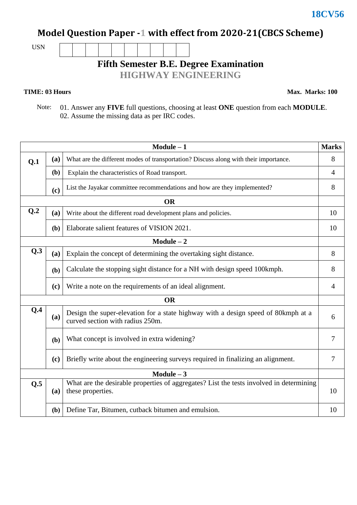## **Model Question Paper -1 with effect from 2020-21(CBCS Scheme)**

USN

**Fifth Semester B.E. Degree Examination**

**HIGHWAY ENGINEERING**

**TIME: 03 Hours** Max. Marks: 100

 Note: 01. Answer any **FIVE** full questions, choosing at least **ONE** question from each **MODULE**. 02. Assume the missing data as per IRC codes.

| $Module - 1$<br><b>Marks</b> |                                                                          |                                                                                                                       |                |  |  |  |  |
|------------------------------|--------------------------------------------------------------------------|-----------------------------------------------------------------------------------------------------------------------|----------------|--|--|--|--|
| Q.1                          | (a)                                                                      | What are the different modes of transportation? Discuss along with their importance.                                  |                |  |  |  |  |
|                              | (b)                                                                      | Explain the characteristics of Road transport.                                                                        |                |  |  |  |  |
|                              | (c)                                                                      | List the Jayakar committee recommendations and how are they implemented?                                              | 8              |  |  |  |  |
|                              |                                                                          | <b>OR</b>                                                                                                             |                |  |  |  |  |
| Q <sub>2</sub>               | (a)                                                                      | Write about the different road development plans and policies.                                                        |                |  |  |  |  |
|                              | Elaborate salient features of VISION 2021.<br>(b)                        |                                                                                                                       |                |  |  |  |  |
| $Module - 2$                 |                                                                          |                                                                                                                       |                |  |  |  |  |
| Q.3                          | Explain the concept of determining the overtaking sight distance.<br>(a) |                                                                                                                       |                |  |  |  |  |
|                              | (b)                                                                      | Calculate the stopping sight distance for a NH with design speed 100kmph.                                             | 8              |  |  |  |  |
|                              | (c)                                                                      | Write a note on the requirements of an ideal alignment.                                                               | $\overline{4}$ |  |  |  |  |
| <b>OR</b>                    |                                                                          |                                                                                                                       |                |  |  |  |  |
| Q.4<br>(a)                   |                                                                          | Design the super-elevation for a state highway with a design speed of 80kmph at a<br>curved section with radius 250m. |                |  |  |  |  |
|                              | What concept is involved in extra widening?<br>(b)                       |                                                                                                                       | 7              |  |  |  |  |
|                              | (c)                                                                      | Briefly write about the engineering surveys required in finalizing an alignment.                                      | 7              |  |  |  |  |
| $Module - 3$                 |                                                                          |                                                                                                                       |                |  |  |  |  |
| Q.5                          | (a)                                                                      | What are the desirable properties of aggregates? List the tests involved in determining<br>these properties.          | 10             |  |  |  |  |
|                              | (b)                                                                      | Define Tar, Bitumen, cutback bitumen and emulsion.                                                                    | 10             |  |  |  |  |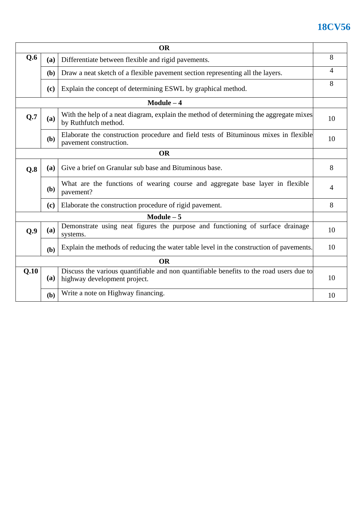## **18CV56**

| <b>OR</b>    |                                                                                                                       |                                                                                                                         |    |  |  |  |
|--------------|-----------------------------------------------------------------------------------------------------------------------|-------------------------------------------------------------------------------------------------------------------------|----|--|--|--|
| Q.6          | (a)                                                                                                                   | Differentiate between flexible and rigid pavements.                                                                     |    |  |  |  |
|              | (b)                                                                                                                   | Draw a neat sketch of a flexible pavement section representing all the layers.                                          |    |  |  |  |
|              | (c)                                                                                                                   | Explain the concept of determining ESWL by graphical method.                                                            | 8  |  |  |  |
|              |                                                                                                                       | $Module - 4$                                                                                                            |    |  |  |  |
| Q.7          | With the help of a neat diagram, explain the method of determining the aggregate mixes<br>(a)<br>by Ruthfutch method. |                                                                                                                         |    |  |  |  |
|              | (b)                                                                                                                   | Elaborate the construction procedure and field tests of Bituminous mixes in flexible<br>pavement construction.          | 10 |  |  |  |
| <b>OR</b>    |                                                                                                                       |                                                                                                                         |    |  |  |  |
| Q.8          | Give a brief on Granular sub base and Bituminous base.<br>(a)                                                         |                                                                                                                         |    |  |  |  |
|              | (b)                                                                                                                   | What are the functions of wearing course and aggregate base layer in flexible<br>pavement?                              | 4  |  |  |  |
|              | (c)                                                                                                                   | Elaborate the construction procedure of rigid pavement.                                                                 | 8  |  |  |  |
| $Module - 5$ |                                                                                                                       |                                                                                                                         |    |  |  |  |
| Q.9          | (a)                                                                                                                   | Demonstrate using neat figures the purpose and functioning of surface drainage<br>systems.                              | 10 |  |  |  |
|              | (b)                                                                                                                   | Explain the methods of reducing the water table level in the construction of pavements.                                 | 10 |  |  |  |
| <b>OR</b>    |                                                                                                                       |                                                                                                                         |    |  |  |  |
| Q.10         | (a)                                                                                                                   | Discuss the various quantifiable and non quantifiable benefits to the road users due to<br>highway development project. | 10 |  |  |  |
|              | (b)                                                                                                                   | Write a note on Highway financing.                                                                                      | 10 |  |  |  |